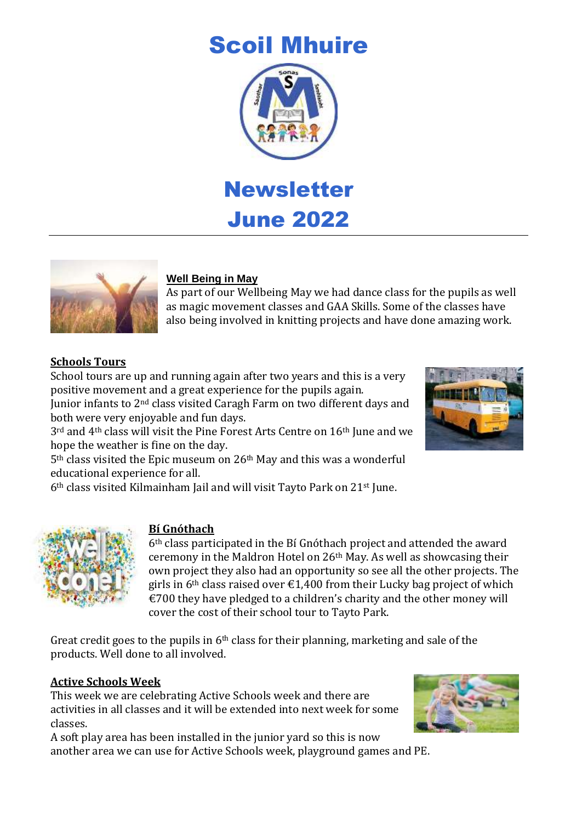# Scoil Mhuire



June 2022



# **Well Being in May**

As part of our Wellbeing May we had dance class for the pupils as well as magic movement classes and GAA Skills. Some of the classes have also being involved in knitting projects and have done amazing work.

# **Schools Tours**

School tours are up and running again after two years and this is a very positive movement and a great experience for the pupils again.

Junior infants to 2nd class visited Caragh Farm on two different days and both were very enjoyable and fun days.

3<sup>rd</sup> and 4<sup>th</sup> class will visit the Pine Forest Arts Centre on 16<sup>th</sup> June and we hope the weather is fine on the day.

5th class visited the Epic museum on 26th May and this was a wonderful educational experience for all.

6th class visited Kilmainham Jail and will visit Tayto Park on 21st June.



# **Bí Gnóthach**

6th class participated in the Bí Gnóthach project and attended the award ceremony in the Maldron Hotel on 26th May. As well as showcasing their own project they also had an opportunity so see all the other projects. The girls in 6<sup>th</sup> class raised over  $\epsilon$ 1,400 from their Lucky bag project of which  $\epsilon$ 700 they have pledged to a children's charity and the other money will cover the cost of their school tour to Tayto Park.

Great credit goes to the pupils in  $6<sup>th</sup>$  class for their planning, marketing and sale of the products. Well done to all involved.

# **Active Schools Week**

This week we are celebrating Active Schools week and there are activities in all classes and it will be extended into next week for some classes.

A soft play area has been installed in the junior yard so this is now another area we can use for Active Schools week, playground games and PE.